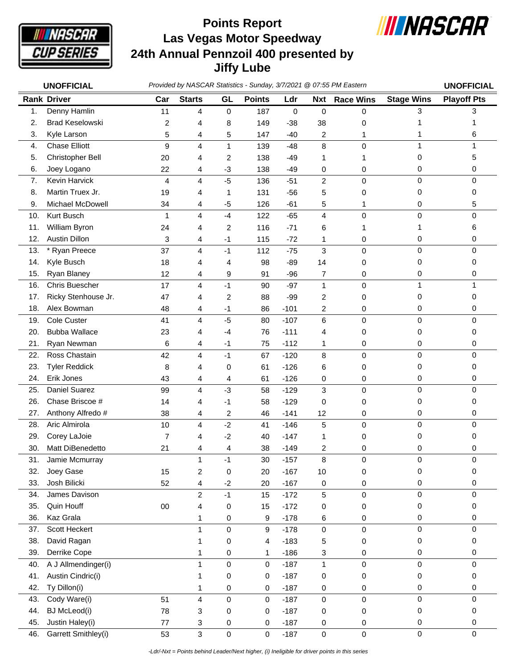

## **Las Vegas Motor Speedway 24th Annual Pennzoil 400 presented by Jiffy Lube Points Report**



|     | <b>UNOFFICIAL</b>      | Provided by NASCAR Statistics - Sunday, 3/7/2021 @ 07:55 PM Eastern |                         |                         |               |        |                |                  |                   |                    |
|-----|------------------------|---------------------------------------------------------------------|-------------------------|-------------------------|---------------|--------|----------------|------------------|-------------------|--------------------|
|     | <b>Rank Driver</b>     | Car                                                                 | <b>Starts</b>           | GL                      | <b>Points</b> | Ldr    | <b>Nxt</b>     | <b>Race Wins</b> | <b>Stage Wins</b> | <b>Playoff Pts</b> |
| 1.  | Denny Hamlin           | 11                                                                  | 4                       | 0                       | 187           | 0      | 0              | $\mathbf 0$      | 3                 | 3                  |
| 2.  | <b>Brad Keselowski</b> | 2                                                                   | 4                       | 8                       | 149           | $-38$  | 38             | 0                | 1                 |                    |
| 3.  | Kyle Larson            | 5                                                                   | 4                       | 5                       | 147           | $-40$  | 2              | 1                | 1                 | 6                  |
| 4.  | <b>Chase Elliott</b>   | 9                                                                   | $\overline{4}$          | $\mathbf{1}$            | 139           | $-48$  | 8              | 0                | 1                 | 1                  |
| 5.  | Christopher Bell       | 20                                                                  | 4                       | 2                       | 138           | $-49$  | 1              | 1                | 0                 | 5                  |
| 6.  | Joey Logano            | 22                                                                  | 4                       | $-3$                    | 138           | $-49$  | 0              | 0                | 0                 | 0                  |
| 7.  | Kevin Harvick          | $\overline{4}$                                                      | 4                       | $-5$                    | 136           | $-51$  | $\overline{c}$ | $\mathbf 0$      | 0                 | $\mathbf 0$        |
| 8.  | Martin Truex Jr.       | 19                                                                  | 4                       | 1                       | 131           | $-56$  | 5              | 0                | 0                 | 0                  |
| 9.  | Michael McDowell       | 34                                                                  | 4                       | $-5$                    | 126           | $-61$  | 5              | 1                | 0                 | 5                  |
| 10. | Kurt Busch             | 1                                                                   | $\overline{4}$          | $-4$                    | 122           | $-65$  | 4              | $\mathbf 0$      | 0                 | 0                  |
| 11. | William Byron          | 24                                                                  | 4                       | $\overline{c}$          | 116           | $-71$  | 6              | 1                | 1                 | 6                  |
| 12. | <b>Austin Dillon</b>   | 3                                                                   | 4                       | $-1$                    | 115           | $-72$  | 1              | 0                | 0                 | 0                  |
| 13. | Ryan Preece            | 37                                                                  | 4                       | $-1$                    | 112           | $-75$  | 3              | $\mathbf 0$      | 0                 | $\mathbf 0$        |
| 14. | Kyle Busch             | 18                                                                  | 4                       | 4                       | 98            | $-89$  | 14             | 0                | 0                 | 0                  |
| 15. | Ryan Blaney            | 12                                                                  | 4                       | 9                       | 91            | $-96$  | 7              | 0                | 0                 | 0                  |
| 16. | <b>Chris Buescher</b>  | 17                                                                  | 4                       | $-1$                    | 90            | $-97$  | $\mathbf{1}$   | $\mathbf 0$      | 1                 | 1                  |
| 17. | Ricky Stenhouse Jr.    | 47                                                                  | 4                       | $\overline{c}$          | 88            | $-99$  | 2              | 0                | 0                 | 0                  |
| 18. | Alex Bowman            | 48                                                                  | 4                       | $-1$                    | 86            | $-101$ | 2              | 0                | 0                 | 0                  |
| 19. | Cole Custer            | 41                                                                  | 4                       | $-5$                    | 80            | $-107$ | 6              | $\mathbf 0$      | $\mathsf 0$       | $\pmb{0}$          |
| 20. | <b>Bubba Wallace</b>   | 23                                                                  | 4                       | -4                      | 76            | $-111$ | 4              | 0                | 0                 | 0                  |
| 21. | Ryan Newman            | 6                                                                   | 4                       | $-1$                    | 75            | $-112$ | 1              | 0                | 0                 | 0                  |
| 22. | Ross Chastain          | 42                                                                  | 4                       | $-1$                    | 67            | $-120$ | 8              | $\mathbf 0$      | 0                 | 0                  |
| 23. | <b>Tyler Reddick</b>   | 8                                                                   | 4                       | 0                       | 61            | $-126$ | 6              | 0                | 0                 | 0                  |
| 24. | Erik Jones             | 43                                                                  | 4                       | 4                       | 61            | $-126$ | 0              | 0                | 0                 | 0                  |
| 25. | Daniel Suarez          | 99                                                                  | 4                       | $-3$                    | 58            | $-129$ | 3              | $\pmb{0}$        | 0                 | 0                  |
| 26. | Chase Briscoe #        |                                                                     |                         | $-1$                    | 58            |        |                |                  |                   |                    |
|     |                        | 14                                                                  | 4                       |                         |               | $-129$ | 0              | 0                | 0                 | 0                  |
| 27. | Anthony Alfredo #      | 38                                                                  | 4                       | $\overline{\mathbf{c}}$ | 46            | $-141$ | 12             | 0                | 0                 | 0                  |
| 28. | Aric Almirola          | 10                                                                  | 4                       | $-2$                    | 41            | $-146$ | 5              | $\mathbf 0$      | $\mathsf 0$       | $\mathbf 0$        |
| 29. | Corey LaJoie           | 7                                                                   | 4                       | $-2$                    | 40            | $-147$ | 1              | 0                | 0                 | 0                  |
| 30. | Matt DiBenedetto       | 21                                                                  | 4                       | 4                       | 38            | $-149$ | 2              | 0                | 0                 | 0                  |
| 31. | Jamie Mcmurray         |                                                                     | 1                       | $-1$                    | 30            | $-157$ | 8              | 0                | 0                 | 0                  |
| 32. | Joey Gase              | 15                                                                  | $\overline{\mathbf{c}}$ | $\pmb{0}$               | 20            | $-167$ | 10             | 0                | 0                 | 0                  |
| 33. | Josh Bilicki           | 52                                                                  | 4                       | $-2$                    | 20            | $-167$ | 0              | 0                | 0                 | 0                  |
| 34. | James Davison          |                                                                     | $\overline{c}$          | $-1$                    | 15            | $-172$ | 5              | $\mathbf 0$      | 0                 | $\mathbf 0$        |
| 35. | Quin Houff             | $00\,$                                                              | 4                       | 0                       | 15            | $-172$ | 0              | 0                | 0                 | 0                  |
| 36. | Kaz Grala              |                                                                     | 1                       | 0                       | 9             | $-178$ | 6              | 0                | 0                 | 0                  |
| 37. | Scott Heckert          |                                                                     | $\mathbf{1}$            | 0                       | 9             | $-178$ | 0              | 0                | 0                 | $\pmb{0}$          |
| 38. | David Ragan            |                                                                     | 1                       | $\pmb{0}$               | 4             | $-183$ | 5              | 0                | 0                 | 0                  |
| 39. | Derrike Cope           |                                                                     | 1                       | 0                       | 1             | $-186$ | 3              | 0                | 0                 | 0                  |
| 40. | A J Allmendinger(i)    |                                                                     | 1                       | 0                       | 0             | $-187$ | 1              | 0                | 0                 | 0                  |
| 41. | Austin Cindric(i)      |                                                                     | 1                       | 0                       | 0             | $-187$ | 0              | 0                | 0                 | 0                  |
| 42. | Ty Dillon(i)           |                                                                     | 1                       | 0                       | 0             | $-187$ | 0              | 0                | 0                 | 0                  |
| 43. | Cody Ware(i)           | 51                                                                  | 4                       | 0                       | 0             | $-187$ | 0              | 0                | 0                 | $\pmb{0}$          |
| 44. | <b>BJ</b> McLeod(i)    | 78                                                                  | 3                       | 0                       | 0             | $-187$ | 0              | 0                | 0                 | 0                  |
| 45. | Justin Haley(i)        | 77                                                                  | 3                       | 0                       | 0             | $-187$ | 0              | 0                | 0                 | 0                  |
| 46. | Garrett Smithley(i)    | 53                                                                  | 3                       | $\pmb{0}$               | 0             | $-187$ | 0              | 0                | $\mathsf 0$       | 0                  |